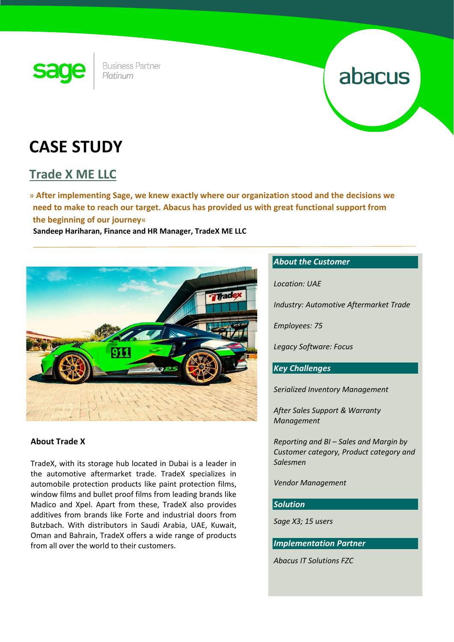

**Business Partner** Platinum

# abacus

## **CASE STUDY**

### **Trade X ME LLC**

» **After implementing Sage, we knew exactly where our organization stood and the decisions we need to make to reach our target. Abacus has provided us with great functional support from the beginning of our journey**«

 **Sandeep Hariharan, Finance and HR Manager, TradeX ME LLC**



#### **About Trade X**

TradeX, with its storage hub located in Dubai is a leader in the automotive aftermarket trade. TradeX specializes in automobile protection products like paint protection films, window films and bullet proof films from leading brands like Madico and Xpel. Apart from these, TradeX also provides additives from brands like Forte and industrial doors from Butzbach. With distributors in Saudi Arabia, UAE, Kuwait, Oman and Bahrain, TradeX offers a wide range of products from all over the world to their customers.

#### *About the Customer*

*Location: UAE*

*Industry: Automotive Aftermarket Trade*

*Employees: 75*

*Legacy Software: Focus*

#### *Key Challenges*

*Serialized Inventory Management*

*After Sales Support & Warranty Management* 

*Reporting and BI – Sales and Margin by Customer category, Product category and Salesmen*

*Vendor Management*

#### *Solution*

*Sage X3; 15 users*

*Implementation Partner*

*Abacus IT Solutions FZC*